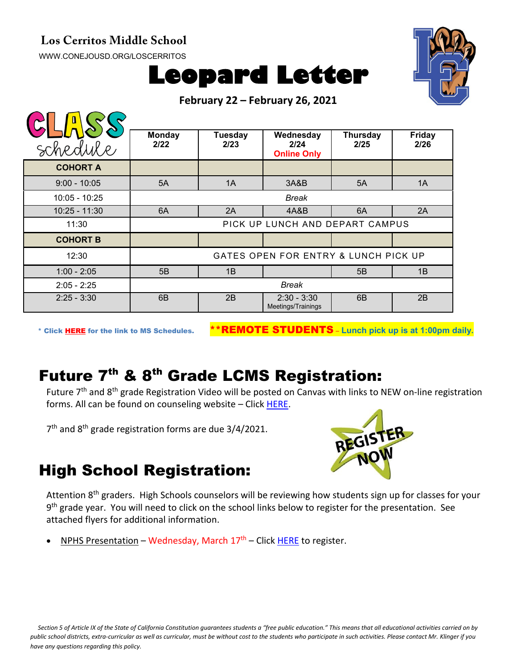## **Los Cerritos Middle School**

[WWW.CONEJOUSD.ORG/LOSCERRITOS](http://www.conejousd.org/LOSCERRITOS)





**February 22 – February 26, 2021**

| schedule        | <b>Monday</b><br>2/22                | <b>Tuesday</b><br>2/23 | Wednesday<br>2/24<br><b>Online Only</b> | <b>Thursday</b><br>2/25 | <b>Friday</b><br>2/26 |
|-----------------|--------------------------------------|------------------------|-----------------------------------------|-------------------------|-----------------------|
| <b>COHORT A</b> |                                      |                        |                                         |                         |                       |
| $9:00 - 10:05$  | 5A                                   | 1A                     | 3A&B                                    | 5A                      | 1A                    |
| $10:05 - 10:25$ | <b>Break</b>                         |                        |                                         |                         |                       |
| $10:25 - 11:30$ | 6A                                   | 2A                     | 4A&B                                    | 6A                      | 2A                    |
| 11:30           | PICK UP LUNCH AND DEPART CAMPUS      |                        |                                         |                         |                       |
| <b>COHORT B</b> |                                      |                        |                                         |                         |                       |
| 12:30           | GATES OPEN FOR ENTRY & LUNCH PICK UP |                        |                                         |                         |                       |
| $1:00 - 2:05$   | 5B                                   | 1B                     |                                         | 5B                      | 1B                    |
| $2:05 - 2:25$   | <b>Break</b>                         |                        |                                         |                         |                       |
| $2:25 - 3:30$   | 6B                                   | 2B                     | $2:30 - 3:30$<br>Meetings/Trainings     | 6 <sub>B</sub>          | 2B                    |

\* Click [HERE](https://www.conejousd.org/Portals/0/Middle%20School%20Monthly%20Calendar%20_FNLl.pdf?ver=2020-11-04-105638-860) for the link to MS Schedules. \*\*REMOTE STUDENTS – **Lunch pick up is at 1:00pm daily.**

## Future 7<sup>th</sup> & 8<sup>th</sup> Grade LCMS Registration:

Future 7<sup>th</sup> and 8<sup>th</sup> grade Registration Video will be posted on Canvas with links to NEW on-line registration forms. All can be found on counseling website – Click [HERE.](https://www.lcmscounseling.org/7th-and-8th-grade-registration--forms.html)

7<sup>th</sup> and 8<sup>th</sup> grade registration forms are due 3/4/2021.



## High School Registration:

Attention 8<sup>th</sup> graders. High Schools counselors will be reviewing how students sign up for classes for your 9<sup>th</sup> grade year. You will need to click on the school links below to register for the presentation. See attached flyers for additional information.

NPHS Presentation – Wednesday, March  $17<sup>th</sup>$  – Click [HERE](https://conejousd-org.zoom.us/meeting/register/tZEude2vpjwrGNUPYylUHyhLvIKusiHoTzoK) to register.

*Section 5 of Article IX of the State of California Constitution guarantees students a "free public education." This means that all educational activities carried on by public school districts, extra-curricular as well as curricular, must be without cost to the students who participate in such activities. Please contact Mr. Klinger if you have any questions regarding this policy.*